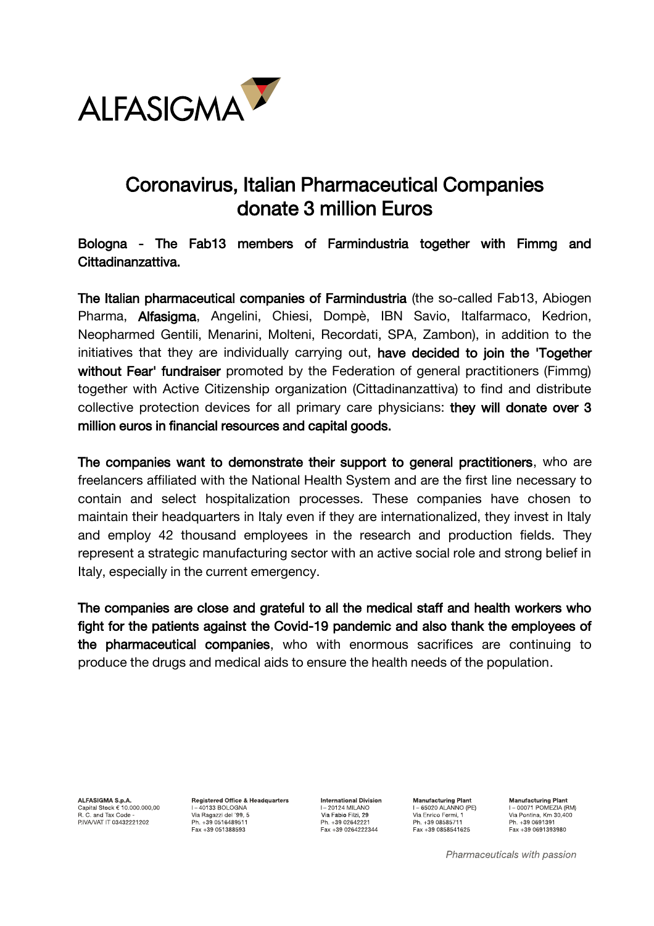

## Coronavirus, Italian Pharmaceutical Companies donate 3 million Euros

## Bologna - The Fab13 members of Farmindustria together with Fimmg and Cittadinanzattiva.

The Italian pharmaceutical companies of Farmindustria (the so-called Fab13, Abiogen Pharma, Alfasigma, Angelini, Chiesi, Dompè, IBN Savio, Italfarmaco, Kedrion, Neopharmed Gentili, Menarini, Molteni, Recordati, SPA, Zambon), in addition to the initiatives that they are individually carrying out, have decided to join the 'Together without Fear' fundraiser promoted by the Federation of general practitioners (Fimmg) together with Active Citizenship organization (Cittadinanzattiva) to find and distribute collective protection devices for all primary care physicians: they will donate over 3 million euros in financial resources and capital goods.

The companies want to demonstrate their support to general practitioners, who are freelancers affiliated with the National Health System and are the first line necessary to contain and select hospitalization processes. These companies have chosen to maintain their headquarters in Italy even if they are internationalized, they invest in Italy and employ 42 thousand employees in the research and production fields. They represent a strategic manufacturing sector with an active social role and strong belief in Italy, especially in the current emergency.

The companies are close and grateful to all the medical staff and health workers who fight for the patients against the Covid-19 pandemic and also thank the employees of the pharmaceutical companies, who with enormous sacrifices are continuing to produce the drugs and medical aids to ensure the health needs of the population.

ALFASIGMA S.p.A. Capital Stock € 10.000.000,00<br>R. C. and Tax Code -<br>PIVA/VAT IT 03432221202 **Registered Office & Headquarters**  $I = 40133$  BOLOGNA Via Ragazzi del '99, 5 Ph. +39 0516489511 Fax +39 051388593

**International Division I-20124 MILANO** Via Fabio Filzi, 29 Ph. +39 02642221 Fax +39 0264222344

**Manufacturing Plant**  $I - 65020$  ALANNO (PE) Via Enrico Fermi, 1<br>Via Enrico Fermi, 1 Ph. +39 08585711 Fax +39 0858541625

**Manufacturing Plant** I-00071 POMEZIA (RM) T= 0007 TT OMEZIA (HW<br>Via Pontina, Km 30,400 Ph. +39 0691391 Fax +39 0691393980

Pharmaceuticals with passion